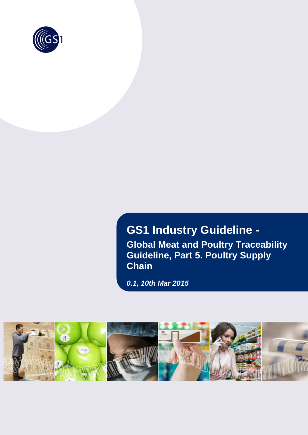

# **GS1 Industry Guideline - Global Meat and Poultry Traceability Guideline, Part 5. Poultry Supply Chain**

*0.1, 10th Mar 2015*

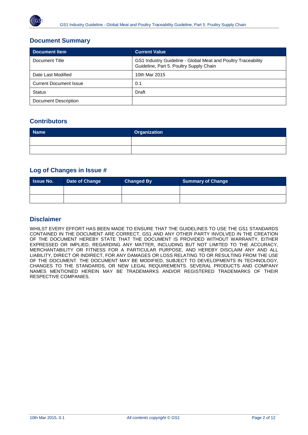## **Document Summary**

| Document Item                 | <b>Current Value</b>                                                                                     |  |
|-------------------------------|----------------------------------------------------------------------------------------------------------|--|
| Document Title                | GS1 Industry Guideline - Global Meat and Poultry Traceability<br>Guideline, Part 5. Poultry Supply Chain |  |
| Date Last Modified            | 10th Mar 2015                                                                                            |  |
| <b>Current Document Issue</b> | 0.1                                                                                                      |  |
| <b>Status</b>                 | Draft                                                                                                    |  |
| Document Description          |                                                                                                          |  |

## **Contributors**

| <b>Name</b> | <b>Organization</b> |
|-------------|---------------------|
|             |                     |
|             |                     |

### **Log of Changes in Issue #**

| <b>Samue No.</b> | Date of Change | <b>Changed By</b> | <b>Summary of Change</b> |
|------------------|----------------|-------------------|--------------------------|
|                  |                |                   |                          |
|                  |                |                   |                          |

## **Disclaimer**

WHILST EVERY EFFORT HAS BEEN MADE TO ENSURE THAT THE GUIDELINES TO USE THE GS1 STANDARDS CONTAINED IN THE DOCUMENT ARE CORRECT, GS1 AND ANY OTHER PARTY INVOLVED IN THE CREATION OF THE DOCUMENT HEREBY STATE THAT THE DOCUMENT IS PROVIDED WITHOUT WARRANTY, EITHER EXPRESSED OR IMPLIED, REGARDING ANY MATTER, INCLUDING BUT NOT LIMITED TO THE ACCURACY, MERCHANTABILITY OR FITNESS FOR A PARTICULAR PURPOSE, AND HEREBY DISCLAIM ANY AND ALL LIABILITY, DIRECT OR INDIRECT, FOR ANY DAMAGES OR LOSS RELATING TO OR RESULTING FROM THE USE OF THE DOCUMENT. THE DOCUMENT MAY BE MODIFIED, SUBJECT TO DEVELOPMENTS IN TECHNOLOGY, CHANGES TO THE STANDARDS, OR NEW LEGAL REQUIREMENTS. SEVERAL PRODUCTS AND COMPANY NAMES MENTIONED HEREIN MAY BE TRADEMARKS AND/OR REGISTERED TRADEMARKS OF THEIR RESPECTIVE COMPANIES.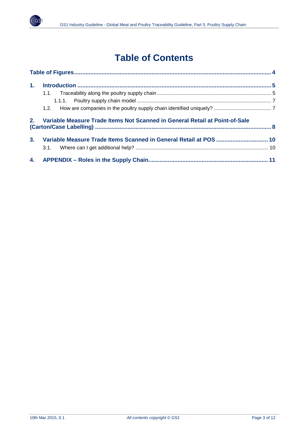

# **Table of Contents**

| 1 <sub>1</sub> |                                                                                |  |
|----------------|--------------------------------------------------------------------------------|--|
|                |                                                                                |  |
|                |                                                                                |  |
|                |                                                                                |  |
|                | 2. Variable Measure Trade Items Not Scanned in General Retail at Point-of-Sale |  |
| 3 <sub>1</sub> |                                                                                |  |
|                |                                                                                |  |
|                |                                                                                |  |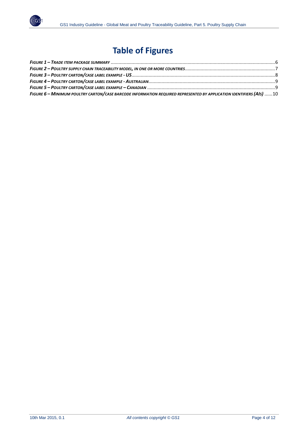

# **Table of Figures**

<span id="page-3-0"></span>

| FIGURE 6 - MINIMUM POULTRY CARTON/CASE BARCODE INFORMATION REQUIRED REPRESENTED BY APPLICATION IDENTIFIERS (AIS) 10 |  |
|---------------------------------------------------------------------------------------------------------------------|--|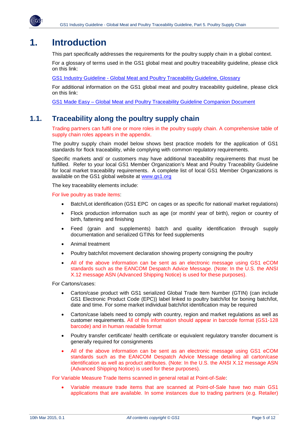

## <span id="page-4-0"></span>**1. Introduction**

This part specifically addresses the requirements for the poultry supply chain in a global context.

For a glossary of terms used in the GS1 global meat and poultry traceability guideline, please click on this link:

GS1 Industry Guideline - [Global Meat and Poultry Traceability Guideline, Glossary](http://www.initmedia.net.au/gs1/GS1_Global_Meat_and_Poultry_Glossary_20150310.pdf)

For additional information on the GS1 global meat and poultry traceability guideline, please click on this link:

GS1 Made Easy – [Global Meat and Poultry Traceability Guideline Companion Document](http://www.initmedia.net.au/gs1/GS1_Global_Meat_and_Poultry_Guideline_Companion_GS1_Made_Easy_20150310.pdf)

## <span id="page-4-1"></span>**1.1. Traceability along the poultry supply chain**

Trading partners can fulfil one or more roles in the poultry supply chain. A comprehensive table of supply chain roles appears in the appendix.

The poultry supply chain model below shows best practice models for the application of GS1 standards for flock traceability, while complying with common regulatory requirements.

Specific markets and/ or customers may have additional traceability requirements that must be fulfilled. Refer to your local GS1 Member Organization's Meat and Poultry Traceability Guideline for local market traceability requirements. A complete list of local GS1 Member Organizations is available on the GS1 global website at [www.gs1.org](http://www.gs1.org/)

The key traceability elements include:

For live poultry as trade items:

- Batch/Lot identification (GS1 EPC on cages or as specific for national/ market regulations)
- Flock production information such as age (or month/ year of birth), region or country of birth, fattening and finishing
- Feed (grain and supplements) batch and quality identification through supply documentation and serialized GTINs for feed supplements
- Animal treatment
- Poultry batch/lot movement declaration showing property consigning the poultry
- All of the above information can be sent as an electronic message using GS1 eCOM standards such as the EANCOM Despatch Advice Message. (Note: In the U.S. the ANSI X.12 message ASN (Advanced Shipping Notice) is used for these purposes).

For Cartons/cases:

- Carton/case product with GS1 serialized Global Trade Item Number (GTIN) (can include GS1 Electronic Product Code (EPC)) label linked to poultry batch/lot for boning batch/lot, date and time. For some market individual batch/lot identification may be required
- Carton/case labels need to comply with country, region and market regulations as well as customer requirements. All of this information should appear in barcode format (GS1-128 barcode) and in human readable format
- Poultry transfer certificate/ health certificate or equivalent regulatory transfer document is generally required for consignments
- All of the above information can be sent as an electronic message using GS1 eCOM standards such as the EANCOM Despatch Advice Message detailing all carton/case identification as well as product attributes. (Note: In the U.S. the ANSI X.12 message ASN (Advanced Shipping Notice) is used for these purposes).

For Variable Measure Trade Items scanned in general retail at Point-of-Sale:

• Variable measure trade items that are scanned at Point-of-Sale have two main GS1 applications that are available. In some instances due to trading partners (e.g. Retailer)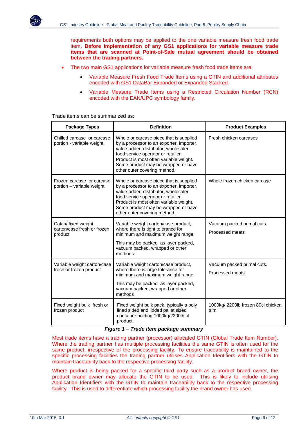requirements both options may be applied to the one variable measure fresh food trade item. **Before implementation of any GS1 applications for variable measure trade items that are scanned at Point-of-Sale mutual agreement should be obtained between the trading partners.**

- The two main GS1 applications for variable measure fresh food trade items are:
	- Variable Measure Fresh Food Trade Items using a GTIN and additional attributes encoded with GS1 DataBar Expanded or Expanded Stacked.
	- Variable Measure Trade Items using a Restricted Circulation Number (RCN) encoded with the EAN/UPC symbology family.

Trade items can be summarized as:

| <b>Package Types</b>                                          | <b>Definition</b>                                                                                                                                                                                                                                                                   | <b>Product Examples</b>                       |
|---------------------------------------------------------------|-------------------------------------------------------------------------------------------------------------------------------------------------------------------------------------------------------------------------------------------------------------------------------------|-----------------------------------------------|
| Chilled carcase or carcase<br>portion - variable weight       | Whole or carcase piece that is supplied<br>by a processor to an exporter, importer,<br>value-adder, distributor, wholesaler,<br>food service operator or retailer.<br>Product is most often variable weight.<br>Some product may be wrapped or have<br>other outer covering method. | Fresh chicken carcases                        |
| Frozen carcase or carcase<br>portion - variable weight        | Whole or carcase piece that is supplied<br>by a processor to an exporter, importer,<br>value-adder, distributor, wholesaler,<br>food service operator or retailer.<br>Product is most often variable weight.<br>Some product may be wrapped or have<br>other outer covering method. | Whole frozen chicken carcase                  |
| Catch/ fixed weight<br>carton/case fresh or frozen<br>product | Variable weight carton/case product,<br>where there is tight tolerance for<br>minimum and maximum weight range.<br>This may be packed as layer packed,<br>vacuum packed, wrapped or other<br>methods                                                                                | Vacuum packed primal cuts.<br>Processed meats |
| Variable weight carton/case<br>fresh or frozen product        | Variable weight carton/case product,<br>where there is large tolerance for<br>minimum and maximum weight range.<br>This may be packed as layer packed,<br>vacuum packed, wrapped or other<br>methods                                                                                | Vacuum packed primal cuts.<br>Processed meats |
| Fixed weight bulk fresh or<br>frozen product                  | Fixed weight bulk pack, typically a poly<br>lined sided and lidded pallet sized<br>container holding 1000kg/2200lb of<br>product.                                                                                                                                                   | 1000kg/ 2200lb frozen 80cl chicken<br>trim    |

#### *Figure 1 – Trade item package summary*

<span id="page-5-0"></span>Most trade items have a trading partner (processor) allocated GTIN (Global Trade Item Number). Where the trading partner has multiple processing facilities the same GTIN is often used for the same product, irrespective of the processing facility. To ensure traceability is maintained to the specific processing facilities the trading partner utilises Application Identifiers with the GTIN to maintain traceability back to the respective processing facility.

Where product is being packed for a specific third party such as a product brand owner, the product brand owner may allocate the GTIN to be used. This is likely to include utilising Application Identifiers with the GTIN to maintain traceability back to the respective processing facility. This is used to differentiate which processing facility the brand owner has used.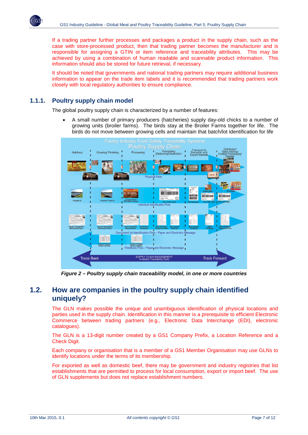If a trading partner further processes and packages a product in the supply chain, such as the case with store-processed product, then that trading partner becomes the manufacturer and is responsible for assigning a GTIN or item reference and traceability attributes. This may be achieved by using a combination of human readable and scannable product information. This information should also be stored for future retrieval, if necessary.

It should be noted that governments and national trading partners may require additional business information to appear on the trade item labels and it is recommended that trading partners work closely with local regulatory authorities to ensure compliance.

### <span id="page-6-0"></span>**1.1.1. Poultry supply chain model**

The global poultry supply chain is characterized by a number of features:

• A small number of primary producers (hatcheries) supply day-old chicks to a number of growing units (broiler farms). The birds stay at the Broiler Farms together for life. The birds do not move between growing cells and maintain that batch/lot identification for life



*Figure 2 – Poultry supply chain traceability model, in one or more countries*

## <span id="page-6-2"></span><span id="page-6-1"></span>**1.2. How are companies in the poultry supply chain identified uniquely?**

The GLN makes possible the unique and unambiguous identification of physical locations and parties used in the supply chain. Identification in this manner is a prerequisite to efficient Electronic Commerce between trading partners (e.g., Electronic Data Interchange (EDI), electronic catalogues).

The GLN is a 13-digit number created by a GS1 Company Prefix, a Location Reference and a Check Digit.

Each company or organisation that is a member of a GS1 Member Organisation may use GLNs to identify locations under the terms of its membership.

For exported as well as domestic beef, there may be government and industry registries that list establishments that are permitted to process for local consumption, export or import beef. The use of GLN supplements but does not replace establishment numbers.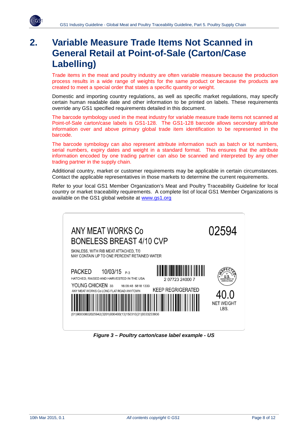

## <span id="page-7-0"></span>**2. Variable Measure Trade Items Not Scanned in General Retail at Point-of-Sale (Carton/Case Labelling)**

Trade items in the meat and poultry industry are often variable measure because the production process results in a wide range of weights for the same product or because the products are created to meet a special order that states a specific quantity or weight.

Domestic and importing country regulations, as well as specific market regulations, may specify certain human readable date and other information to be printed on labels. These requirements override any GS1 specified requirements detailed in this document.

The barcode symbology used in the meat industry for variable measure trade items not scanned at Point-of-Sale carton/case labels is GS1-128. The GS1-128 barcode allows secondary attribute information over and above primary global trade item identification to be represented in the barcode.

The barcode symbology can also represent attribute information such as batch or lot numbers, serial numbers, expiry dates and weight in a standard format. This ensures that the attribute information encoded by one trading partner can also be scanned and interpreted by any other trading partner in the supply chain.

Additional country, market or customer requirements may be applicable in certain circumstances. Contact the applicable representatives in those markets to determine the current requirements.

Refer to your local GS1 Member Organization's Meat and Poultry Traceability Guideline for local country or market traceability requirements. A complete list of local GS1 Member Organizations is available on the GS1 global website at [www.gs1.org](http://www.gs1.org/)

| ANY MEAT WORKS Co<br><b>BONELESS BREAST 4/10 CVP</b>                                                                                                                                                                                                                    | 02594                     |
|-------------------------------------------------------------------------------------------------------------------------------------------------------------------------------------------------------------------------------------------------------------------------|---------------------------|
| SKINLESS, WITH RIB MEAT ATTACHED, T/0<br>MAY CONTAIN UP TO ONE PERCENT RETAINED WATER                                                                                                                                                                                   |                           |
| <b>PACKED</b><br>$10/03/15$ P-3<br>HATCHED, RAISED AND HARVESTED IN THE USA<br>207723240007<br>YOUNG CHICKEN 33<br>16:09:48 5818 1333<br><b>KEEP REGRIGERATED</b><br>ANY MEAT WORKS Co LONG FLAT ROAD ANYTOWN<br>(01)90030802025942(3201)000400(13)150310(21)0333233936 | <b>NET WEIGHT</b><br>LBS. |

<span id="page-7-1"></span>*Figure 3 – Poultry carton/case label example - US*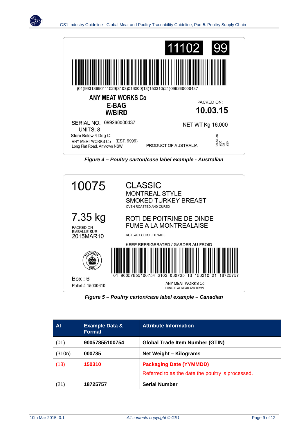

*Figure 4 – Poultry carton/case label example - Australian*

<span id="page-8-0"></span>

*Figure 5 – Poultry carton/case label example – Canadian*

<span id="page-8-1"></span>

| AI.    | <b>Example Data &amp;</b><br>Format | <b>Attribute Information</b>                      |  |
|--------|-------------------------------------|---------------------------------------------------|--|
| (01)   | 90057855100754                      | <b>Global Trade Item Number (GTIN)</b>            |  |
| (310n) | 000735                              | <b>Net Weight - Kilograms</b>                     |  |
| (13)   | 150310                              | <b>Packaging Date (YYMMDD)</b>                    |  |
|        |                                     | Referred to as the date the poultry is processed. |  |
| (21)   | 18725757                            | <b>Serial Number</b>                              |  |

٬۾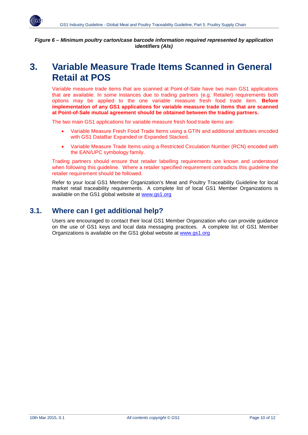

<span id="page-9-2"></span>*Figure 6 – Minimum poultry carton/case barcode information required represented by application* **i***dentifiers (AIs)*

## <span id="page-9-0"></span>**3. Variable Measure Trade Items Scanned in General Retail at POS**

Variable measure trade items that are scanned at Point-of-Sale have two main GS1 applications that are available. In some instances due to trading partners (e.g. Retailer) requirements both options may be applied to the one variable measure fresh food trade item. **Before implementation of any GS1 applications for variable measure trade items that are scanned at Point-of-Sale mutual agreement should be obtained between the trading partners.**

The two main GS1 applications for variable measure fresh food trade items are:

- Variable Measure Fresh Food Trade Items using a GTIN and additional attributes encoded with GS1 DataBar Expanded or Expanded Stacked.
- Variable Measure Trade Items using a Restricted Circulation Number (RCN) encoded with the EAN/UPC symbology family.

Trading partners should ensure that retailer labelling requirements are known and understood when following this guideline. Where a retailer specified requirement contradicts this guideline the retailer requirement should be followed.

Refer to your local GS1 Member Organization's Meat and Poultry Traceability Guideline for local market retail traceability requirements. A complete list of local GS1 Member Organizations is available on the GS1 global website at [www.gs1.org](http://www.gs1.org/)

## <span id="page-9-1"></span>**3.1. Where can I get additional help?**

Users are encouraged to contact their local GS1 Member Organization who can provide guidance on the use of GS1 keys and local data messaging practices. A complete list of GS1 Member Organizations is available on the GS1 global website at [www.gs1.org](http://www.gs1.org/)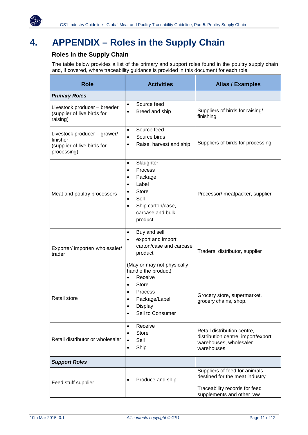

# <span id="page-10-0"></span>**4. APPENDIX – Roles in the Supply Chain**

## **Roles in the Supply Chain**

The table below provides a list of the primary and support roles found in the poultry supply chain and, if covered, where traceability guidance is provided in this document for each role.

| <b>Role</b>                                                                            | <b>Activities</b>                                                                                                                                                                                               | <b>Alias / Examples</b>                                                                                                       |
|----------------------------------------------------------------------------------------|-----------------------------------------------------------------------------------------------------------------------------------------------------------------------------------------------------------------|-------------------------------------------------------------------------------------------------------------------------------|
| <b>Primary Roles</b>                                                                   |                                                                                                                                                                                                                 |                                                                                                                               |
| Livestock producer - breeder<br>(supplier of live birds for<br>raising)                | Source feed<br>$\bullet$<br>Breed and ship<br>$\bullet$                                                                                                                                                         | Suppliers of birds for raising/<br>finishing                                                                                  |
| Livestock producer - grower/<br>finisher<br>(supplier of live birds for<br>processing) | Source feed<br>$\bullet$<br>Source birds<br>$\bullet$<br>Raise, harvest and ship<br>$\bullet$                                                                                                                   | Suppliers of birds for processing                                                                                             |
| Meat and poultry processors                                                            | Slaughter<br>$\bullet$<br>Process<br>$\bullet$<br>Package<br>$\bullet$<br>Label<br>$\bullet$<br><b>Store</b><br>$\bullet$<br>Sell<br>$\bullet$<br>Ship carton/case,<br>$\bullet$<br>carcase and bulk<br>product | Processor/ meatpacker, supplier                                                                                               |
| Exporter/ importer/ wholesaler/<br>trader                                              | Buy and sell<br>$\bullet$<br>export and import<br>$\bullet$<br>carton/case and carcase<br>product<br>(May or may not physically<br>handle the product)                                                          | Traders, distributor, supplier                                                                                                |
| <b>Retail store</b>                                                                    | Receive<br>$\bullet$<br>Store<br>$\bullet$<br>Process<br>$\bullet$<br>Package/Label<br>$\bullet$<br>Display<br>Sell to Consumer<br>$\bullet$                                                                    | Grocery store, supermarket,<br>grocery chains, shop.                                                                          |
| Retail distributor or wholesaler                                                       | Receive<br>$\bullet$<br><b>Store</b><br>$\bullet$<br>Sell<br>$\bullet$<br>Ship<br>$\bullet$                                                                                                                     | Retail distribution centre,<br>distribution centre, import/export<br>warehouses, wholesaler<br>warehouses                     |
| <b>Support Roles</b>                                                                   |                                                                                                                                                                                                                 |                                                                                                                               |
| Feed stuff supplier                                                                    | Produce and ship                                                                                                                                                                                                | Suppliers of feed for animals<br>destined for the meat industry<br>Traceability records for feed<br>supplements and other raw |